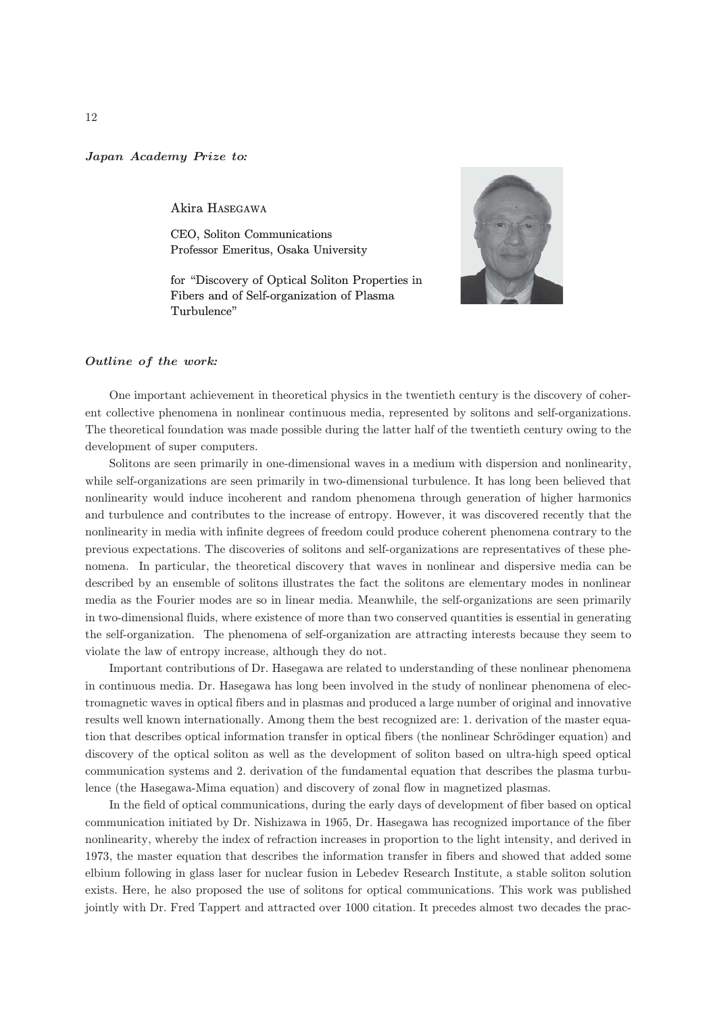## Japan Academy Prize to*:*

Akira HASEGAWA

CEO, Soliton Communications Professor Emeritus, Osaka University

for "Discovery of Optical Soliton Properties in Fibers and of Self-organization of Plasma Turbulence"



## Outline of the work*:*

One important achievement in theoretical physics in the twentieth century is the discovery of coherent collective phenomena in nonlinear continuous media, represented by solitons and self-organizations. The theoretical foundation was made possible during the latter half of the twentieth century owing to the development of super computers.

Solitons are seen primarily in one-dimensional waves in a medium with dispersion and nonlinearity, while self-organizations are seen primarily in two-dimensional turbulence. It has long been believed that nonlinearity would induce incoherent and random phenomena through generation of higher harmonics and turbulence and contributes to the increase of entropy. However, it was discovered recently that the nonlinearity in media with infinite degrees of freedom could produce coherent phenomena contrary to the previous expectations. The discoveries of solitons and self-organizations are representatives of these phenomena. In particular, the theoretical discovery that waves in nonlinear and dispersive media can be described by an ensemble of solitons illustrates the fact the solitons are elementary modes in nonlinear media as the Fourier modes are so in linear media. Meanwhile, the self-organizations are seen primarily in two-dimensional fluids, where existence of more than two conserved quantities is essential in generating the self-organization. The phenomena of self-organization are attracting interests because they seem to violate the law of entropy increase, although they do not.

Important contributions of Dr. Hasegawa are related to understanding of these nonlinear phenomena in continuous media. Dr. Hasegawa has long been involved in the study of nonlinear phenomena of electromagnetic waves in optical fibers and in plasmas and produced a large number of original and innovative results well known internationally. Among them the best recognized are: 1. derivation of the master equation that describes optical information transfer in optical fibers (the nonlinear Schrödinger equation) and discovery of the optical soliton as well as the development of soliton based on ultra-high speed optical communication systems and 2. derivation of the fundamental equation that describes the plasma turbulence (the Hasegawa-Mima equation) and discovery of zonal flow in magnetized plasmas.

In the field of optical communications, during the early days of development of fiber based on optical communication initiated by Dr. Nishizawa in 1965, Dr. Hasegawa has recognized importance of the fiber nonlinearity, whereby the index of refraction increases in proportion to the light intensity, and derived in 1973, the master equation that describes the information transfer in fibers and showed that added some elbium following in glass laser for nuclear fusion in Lebedev Research Institute, a stable soliton solution exists. Here, he also proposed the use of solitons for optical communications. This work was published jointly with Dr. Fred Tappert and attracted over 1000 citation. It precedes almost two decades the prac